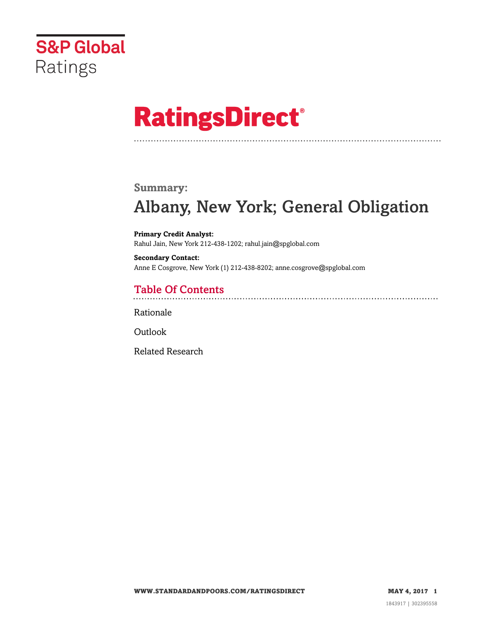

# **RatingsDirect®**

### **Summary:**

# Albany, New York; General Obligation

**Primary Credit Analyst:** Rahul Jain, New York 212-438-1202; rahul.jain@spglobal.com

**Secondary Contact:** Anne E Cosgrove, New York (1) 212-438-8202; anne.cosgrove@spglobal.com

# Table Of Contents

[Rationale](#page-1-0)

**[Outlook](#page-5-0)** 

[Related Research](#page-5-1)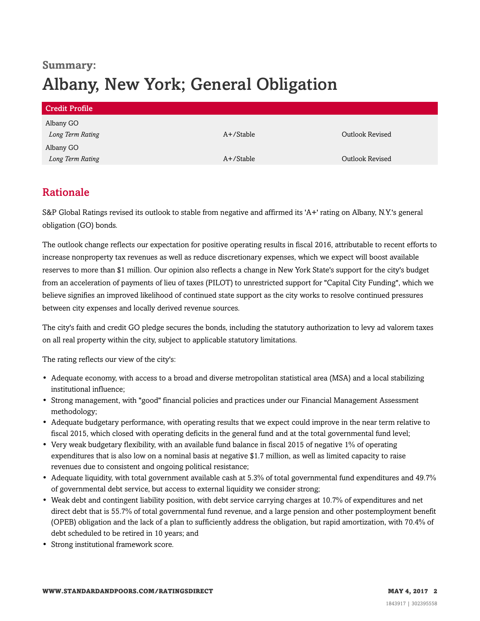# **Summary:** Albany, New York; General Obligation

| <b>Credit Profile</b> |           |                 |
|-----------------------|-----------|-----------------|
| Albany GO             |           |                 |
| Long Term Rating      | A+/Stable | Outlook Revised |
| Albany GO             |           |                 |
| Long Term Rating      | A+/Stable | Outlook Revised |

### <span id="page-1-0"></span>Rationale

S&P Global Ratings revised its outlook to stable from negative and affirmed its 'A+' rating on Albany, N.Y.'s general obligation (GO) bonds.

The outlook change reflects our expectation for positive operating results in fiscal 2016, attributable to recent efforts to increase nonproperty tax revenues as well as reduce discretionary expenses, which we expect will boost available reserves to more than \$1 million. Our opinion also reflects a change in New York State's support for the city's budget from an acceleration of payments of lieu of taxes (PILOT) to unrestricted support for "Capital City Funding", which we believe signifies an improved likelihood of continued state support as the city works to resolve continued pressures between city expenses and locally derived revenue sources.

The city's faith and credit GO pledge secures the bonds, including the statutory authorization to levy ad valorem taxes on all real property within the city, subject to applicable statutory limitations.

The rating reflects our view of the city's:

- Adequate economy, with access to a broad and diverse metropolitan statistical area (MSA) and a local stabilizing institutional influence;
- Strong management, with "good" financial policies and practices under our Financial Management Assessment methodology;
- Adequate budgetary performance, with operating results that we expect could improve in the near term relative to fiscal 2015, which closed with operating deficits in the general fund and at the total governmental fund level;
- Very weak budgetary flexibility, with an available fund balance in fiscal 2015 of negative 1% of operating expenditures that is also low on a nominal basis at negative \$1.7 million, as well as limited capacity to raise revenues due to consistent and ongoing political resistance;
- Adequate liquidity, with total government available cash at 5.3% of total governmental fund expenditures and 49.7% of governmental debt service, but access to external liquidity we consider strong;
- Weak debt and contingent liability position, with debt service carrying charges at 10.7% of expenditures and net direct debt that is 55.7% of total governmental fund revenue, and a large pension and other postemployment benefit (OPEB) obligation and the lack of a plan to sufficiently address the obligation, but rapid amortization, with 70.4% of debt scheduled to be retired in 10 years; and
- Strong institutional framework score.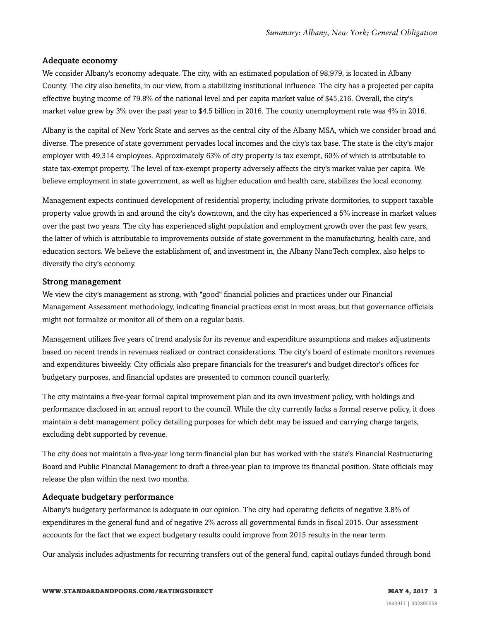#### Adequate economy

We consider Albany's economy adequate. The city, with an estimated population of 98,979, is located in Albany County. The city also benefits, in our view, from a stabilizing institutional influence. The city has a projected per capita effective buying income of 79.8% of the national level and per capita market value of \$45,216. Overall, the city's market value grew by 3% over the past year to \$4.5 billion in 2016. The county unemployment rate was 4% in 2016.

Albany is the capital of New York State and serves as the central city of the Albany MSA, which we consider broad and diverse. The presence of state government pervades local incomes and the city's tax base. The state is the city's major employer with 49,314 employees. Approximately 63% of city property is tax exempt, 60% of which is attributable to state tax-exempt property. The level of tax-exempt property adversely affects the city's market value per capita. We believe employment in state government, as well as higher education and health care, stabilizes the local economy.

Management expects continued development of residential property, including private dormitories, to support taxable property value growth in and around the city's downtown, and the city has experienced a 5% increase in market values over the past two years. The city has experienced slight population and employment growth over the past few years, the latter of which is attributable to improvements outside of state government in the manufacturing, health care, and education sectors. We believe the establishment of, and investment in, the Albany NanoTech complex, also helps to diversify the city's economy.

#### Strong management

We view the city's management as strong, with "good" financial policies and practices under our Financial Management Assessment methodology, indicating financial practices exist in most areas, but that governance officials might not formalize or monitor all of them on a regular basis.

Management utilizes five years of trend analysis for its revenue and expenditure assumptions and makes adjustments based on recent trends in revenues realized or contract considerations. The city's board of estimate monitors revenues and expenditures biweekly. City officials also prepare financials for the treasurer's and budget director's offices for budgetary purposes, and financial updates are presented to common council quarterly.

The city maintains a five-year formal capital improvement plan and its own investment policy, with holdings and performance disclosed in an annual report to the council. While the city currently lacks a formal reserve policy, it does maintain a debt management policy detailing purposes for which debt may be issued and carrying charge targets, excluding debt supported by revenue.

The city does not maintain a five-year long term financial plan but has worked with the state's Financial Restructuring Board and Public Financial Management to draft a three-year plan to improve its financial position. State officials may release the plan within the next two months.

#### Adequate budgetary performance

Albany's budgetary performance is adequate in our opinion. The city had operating deficits of negative 3.8% of expenditures in the general fund and of negative 2% across all governmental funds in fiscal 2015. Our assessment accounts for the fact that we expect budgetary results could improve from 2015 results in the near term.

Our analysis includes adjustments for recurring transfers out of the general fund, capital outlays funded through bond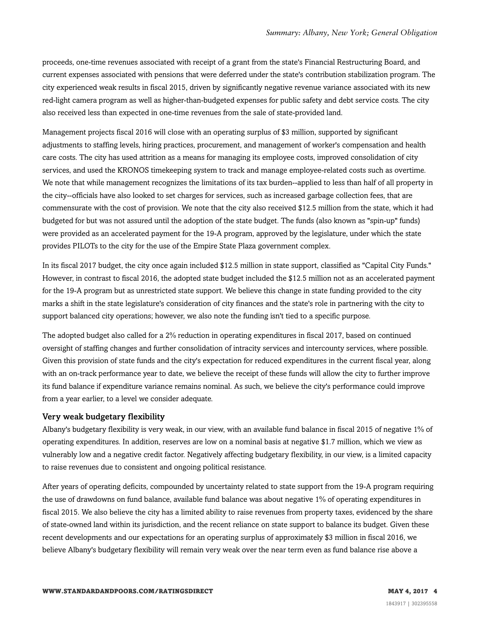proceeds, one-time revenues associated with receipt of a grant from the state's Financial Restructuring Board, and current expenses associated with pensions that were deferred under the state's contribution stabilization program. The city experienced weak results in fiscal 2015, driven by significantly negative revenue variance associated with its new red-light camera program as well as higher-than-budgeted expenses for public safety and debt service costs. The city also received less than expected in one-time revenues from the sale of state-provided land.

Management projects fiscal 2016 will close with an operating surplus of \$3 million, supported by significant adjustments to staffing levels, hiring practices, procurement, and management of worker's compensation and health care costs. The city has used attrition as a means for managing its employee costs, improved consolidation of city services, and used the KRONOS timekeeping system to track and manage employee-related costs such as overtime. We note that while management recognizes the limitations of its tax burden--applied to less than half of all property in the city--officials have also looked to set charges for services, such as increased garbage collection fees, that are commensurate with the cost of provision. We note that the city also received \$12.5 million from the state, which it had budgeted for but was not assured until the adoption of the state budget. The funds (also known as "spin-up" funds) were provided as an accelerated payment for the 19-A program, approved by the legislature, under which the state provides PILOTs to the city for the use of the Empire State Plaza government complex.

In its fiscal 2017 budget, the city once again included \$12.5 million in state support, classified as "Capital City Funds." However, in contrast to fiscal 2016, the adopted state budget included the \$12.5 million not as an accelerated payment for the 19-A program but as unrestricted state support. We believe this change in state funding provided to the city marks a shift in the state legislature's consideration of city finances and the state's role in partnering with the city to support balanced city operations; however, we also note the funding isn't tied to a specific purpose.

The adopted budget also called for a 2% reduction in operating expenditures in fiscal 2017, based on continued oversight of staffing changes and further consolidation of intracity services and intercounty services, where possible. Given this provision of state funds and the city's expectation for reduced expenditures in the current fiscal year, along with an on-track performance year to date, we believe the receipt of these funds will allow the city to further improve its fund balance if expenditure variance remains nominal. As such, we believe the city's performance could improve from a year earlier, to a level we consider adequate.

#### Very weak budgetary flexibility

Albany's budgetary flexibility is very weak, in our view, with an available fund balance in fiscal 2015 of negative 1% of operating expenditures. In addition, reserves are low on a nominal basis at negative \$1.7 million, which we view as vulnerably low and a negative credit factor. Negatively affecting budgetary flexibility, in our view, is a limited capacity to raise revenues due to consistent and ongoing political resistance.

After years of operating deficits, compounded by uncertainty related to state support from the 19-A program requiring the use of drawdowns on fund balance, available fund balance was about negative 1% of operating expenditures in fiscal 2015. We also believe the city has a limited ability to raise revenues from property taxes, evidenced by the share of state-owned land within its jurisdiction, and the recent reliance on state support to balance its budget. Given these recent developments and our expectations for an operating surplus of approximately \$3 million in fiscal 2016, we believe Albany's budgetary flexibility will remain very weak over the near term even as fund balance rise above a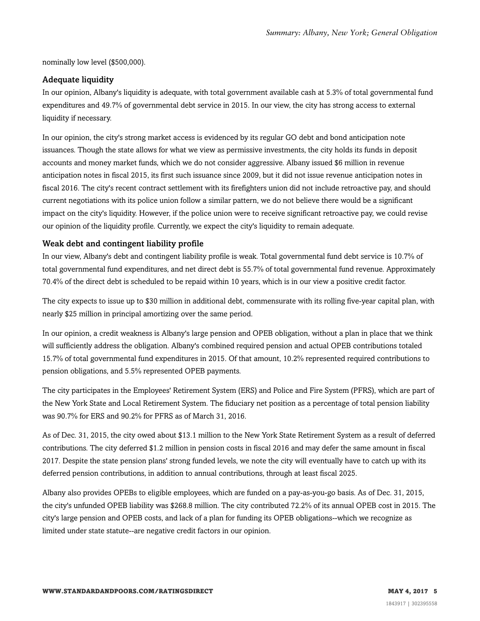nominally low level (\$500,000).

#### Adequate liquidity

In our opinion, Albany's liquidity is adequate, with total government available cash at 5.3% of total governmental fund expenditures and 49.7% of governmental debt service in 2015. In our view, the city has strong access to external liquidity if necessary.

In our opinion, the city's strong market access is evidenced by its regular GO debt and bond anticipation note issuances. Though the state allows for what we view as permissive investments, the city holds its funds in deposit accounts and money market funds, which we do not consider aggressive. Albany issued \$6 million in revenue anticipation notes in fiscal 2015, its first such issuance since 2009, but it did not issue revenue anticipation notes in fiscal 2016. The city's recent contract settlement with its firefighters union did not include retroactive pay, and should current negotiations with its police union follow a similar pattern, we do not believe there would be a significant impact on the city's liquidity. However, if the police union were to receive significant retroactive pay, we could revise our opinion of the liquidity profile. Currently, we expect the city's liquidity to remain adequate.

#### Weak debt and contingent liability profile

In our view, Albany's debt and contingent liability profile is weak. Total governmental fund debt service is 10.7% of total governmental fund expenditures, and net direct debt is 55.7% of total governmental fund revenue. Approximately 70.4% of the direct debt is scheduled to be repaid within 10 years, which is in our view a positive credit factor.

The city expects to issue up to \$30 million in additional debt, commensurate with its rolling five-year capital plan, with nearly \$25 million in principal amortizing over the same period.

In our opinion, a credit weakness is Albany's large pension and OPEB obligation, without a plan in place that we think will sufficiently address the obligation. Albany's combined required pension and actual OPEB contributions totaled 15.7% of total governmental fund expenditures in 2015. Of that amount, 10.2% represented required contributions to pension obligations, and 5.5% represented OPEB payments.

The city participates in the Employees' Retirement System (ERS) and Police and Fire System (PFRS), which are part of the New York State and Local Retirement System. The fiduciary net position as a percentage of total pension liability was 90.7% for ERS and 90.2% for PFRS as of March 31, 2016.

As of Dec. 31, 2015, the city owed about \$13.1 million to the New York State Retirement System as a result of deferred contributions. The city deferred \$1.2 million in pension costs in fiscal 2016 and may defer the same amount in fiscal 2017. Despite the state pension plans' strong funded levels, we note the city will eventually have to catch up with its deferred pension contributions, in addition to annual contributions, through at least fiscal 2025.

Albany also provides OPEBs to eligible employees, which are funded on a pay-as-you-go basis. As of Dec. 31, 2015, the city's unfunded OPEB liability was \$268.8 million. The city contributed 72.2% of its annual OPEB cost in 2015. The city's large pension and OPEB costs, and lack of a plan for funding its OPEB obligations--which we recognize as limited under state statute--are negative credit factors in our opinion.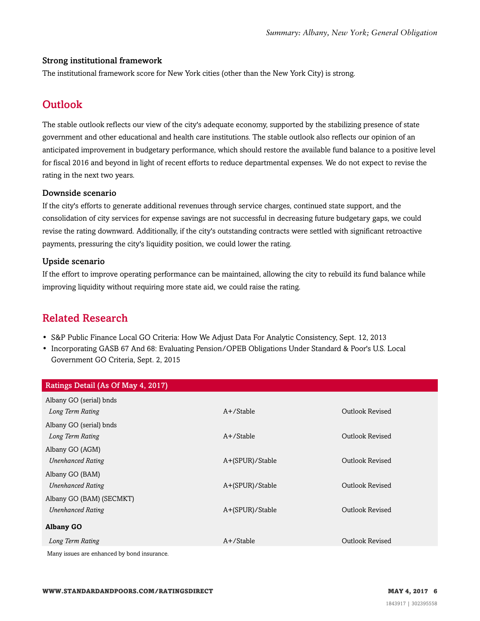#### Strong institutional framework

<span id="page-5-0"></span>The institutional framework score for New York cities (other than the New York City) is strong.

# **Outlook**

The stable outlook reflects our view of the city's adequate economy, supported by the stabilizing presence of state government and other educational and health care institutions. The stable outlook also reflects our opinion of an anticipated improvement in budgetary performance, which should restore the available fund balance to a positive level for fiscal 2016 and beyond in light of recent efforts to reduce departmental expenses. We do not expect to revise the rating in the next two years.

#### Downside scenario

If the city's efforts to generate additional revenues through service charges, continued state support, and the consolidation of city services for expense savings are not successful in decreasing future budgetary gaps, we could revise the rating downward. Additionally, if the city's outstanding contracts were settled with significant retroactive payments, pressuring the city's liquidity position, we could lower the rating.

#### Upside scenario

If the effort to improve operating performance can be maintained, allowing the city to rebuild its fund balance while improving liquidity without requiring more state aid, we could raise the rating.

# <span id="page-5-1"></span>Related Research

- S&P Public Finance Local GO Criteria: How We Adjust Data For Analytic Consistency, Sept. 12, 2013
- Incorporating GASB 67 And 68: Evaluating Pension/OPEB Obligations Under Standard & Poor's U.S. Local Government GO Criteria, Sept. 2, 2015

| Ratings Detail (As Of May 4, 2017)          |                 |                        |
|---------------------------------------------|-----------------|------------------------|
| Albany GO (serial) bnds                     |                 |                        |
| Long Term Rating                            | $A+$ /Stable    | Outlook Revised        |
| Albany GO (serial) bnds                     |                 |                        |
| Long Term Rating                            | $A+$ /Stable    | Outlook Revised        |
| Albany GO (AGM)                             |                 |                        |
| <b>Unenhanced Rating</b>                    | A+(SPUR)/Stable | Outlook Revised        |
| Albany GO (BAM)                             |                 |                        |
| <b>Unenhanced Rating</b>                    | A+(SPUR)/Stable | <b>Outlook Revised</b> |
| Albany GO (BAM) (SECMKT)                    |                 |                        |
| <b>Unenhanced Rating</b>                    | A+(SPUR)/Stable | Outlook Revised        |
| <b>Albany GO</b>                            |                 |                        |
| Long Term Rating                            | $A+$ /Stable    | Outlook Revised        |
| Many issues are enhanced by bond insurance. |                 |                        |

**WWW.STANDARDANDPOORS.COM/RATINGSDIRECT MAY 4, 2017 6**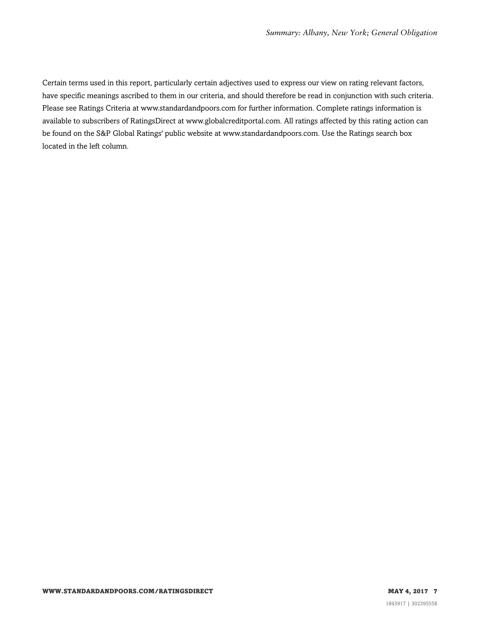Certain terms used in this report, particularly certain adjectives used to express our view on rating relevant factors, have specific meanings ascribed to them in our criteria, and should therefore be read in conjunction with such criteria. Please see Ratings Criteria at www.standardandpoors.com for further information. Complete ratings information is available to subscribers of RatingsDirect at www.globalcreditportal.com. All ratings affected by this rating action can be found on the S&P Global Ratings' public website at www.standardandpoors.com. Use the Ratings search box located in the left column.